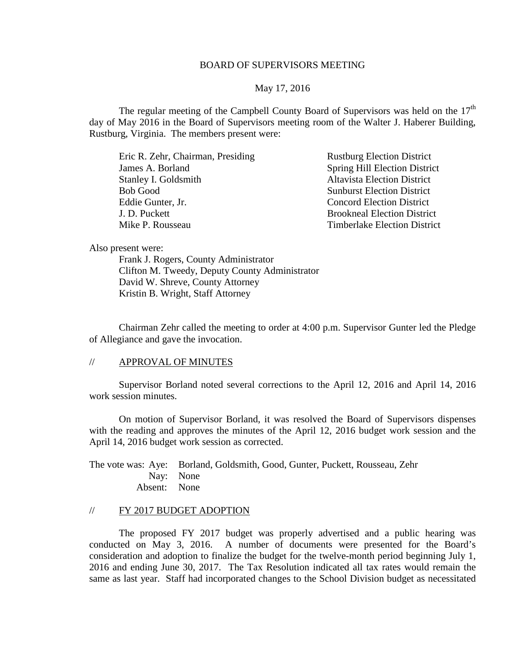## BOARD OF SUPERVISORS MEETING

### May 17, 2016

The regular meeting of the Campbell County Board of Supervisors was held on the  $17<sup>th</sup>$ day of May 2016 in the Board of Supervisors meeting room of the Walter J. Haberer Building, Rustburg, Virginia. The members present were:

Eric R. Zehr, Chairman, Presiding Rustburg Election District James A. Borland Spring Hill Election District Stanley I. Goldsmith Altavista Election District Bob Good Sunburst Election District Eddie Gunter, Jr. Concord Election District J. D. Puckett Brookneal Election District Mike P. Rousseau Timberlake Election District

Also present were:

Frank J. Rogers, County Administrator Clifton M. Tweedy, Deputy County Administrator David W. Shreve, County Attorney Kristin B. Wright, Staff Attorney

Chairman Zehr called the meeting to order at 4:00 p.m. Supervisor Gunter led the Pledge of Allegiance and gave the invocation.

#### // APPROVAL OF MINUTES

Supervisor Borland noted several corrections to the April 12, 2016 and April 14, 2016 work session minutes.

On motion of Supervisor Borland, it was resolved the Board of Supervisors dispenses with the reading and approves the minutes of the April 12, 2016 budget work session and the April 14, 2016 budget work session as corrected.

The vote was: Aye: Borland, Goldsmith, Good, Gunter, Puckett, Rousseau, Zehr Nay: None Absent: None

## // FY 2017 BUDGET ADOPTION

The proposed FY 2017 budget was properly advertised and a public hearing was conducted on May 3, 2016. A number of documents were presented for the Board's consideration and adoption to finalize the budget for the twelve-month period beginning July 1, 2016 and ending June 30, 2017. The Tax Resolution indicated all tax rates would remain the same as last year. Staff had incorporated changes to the School Division budget as necessitated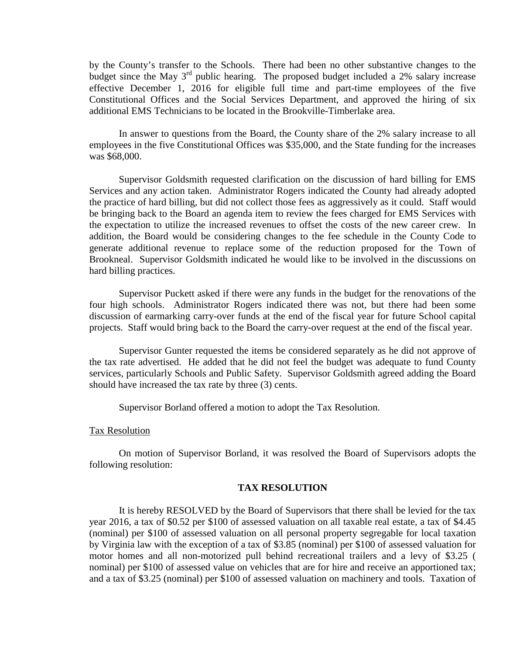by the County's transfer to the Schools. There had been no other substantive changes to the budget since the May  $3<sup>rd</sup>$  public hearing. The proposed budget included a 2% salary increase effective December 1, 2016 for eligible full time and part-time employees of the five Constitutional Offices and the Social Services Department, and approved the hiring of six additional EMS Technicians to be located in the Brookville-Timberlake area.

In answer to questions from the Board, the County share of the 2% salary increase to all employees in the five Constitutional Offices was \$35,000, and the State funding for the increases was \$68,000.

Supervisor Goldsmith requested clarification on the discussion of hard billing for EMS Services and any action taken. Administrator Rogers indicated the County had already adopted the practice of hard billing, but did not collect those fees as aggressively as it could. Staff would be bringing back to the Board an agenda item to review the fees charged for EMS Services with the expectation to utilize the increased revenues to offset the costs of the new career crew. In addition, the Board would be considering changes to the fee schedule in the County Code to generate additional revenue to replace some of the reduction proposed for the Town of Brookneal. Supervisor Goldsmith indicated he would like to be involved in the discussions on hard billing practices.

Supervisor Puckett asked if there were any funds in the budget for the renovations of the four high schools. Administrator Rogers indicated there was not, but there had been some discussion of earmarking carry-over funds at the end of the fiscal year for future School capital projects. Staff would bring back to the Board the carry-over request at the end of the fiscal year.

Supervisor Gunter requested the items be considered separately as he did not approve of the tax rate advertised. He added that he did not feel the budget was adequate to fund County services, particularly Schools and Public Safety. Supervisor Goldsmith agreed adding the Board should have increased the tax rate by three (3) cents.

Supervisor Borland offered a motion to adopt the Tax Resolution.

#### Tax Resolution

On motion of Supervisor Borland, it was resolved the Board of Supervisors adopts the following resolution:

### **TAX RESOLUTION**

It is hereby RESOLVED by the Board of Supervisors that there shall be levied for the tax year 2016, a tax of \$0.52 per \$100 of assessed valuation on all taxable real estate, a tax of \$4.45 (nominal) per \$100 of assessed valuation on all personal property segregable for local taxation by Virginia law with the exception of a tax of \$3.85 (nominal) per \$100 of assessed valuation for motor homes and all non-motorized pull behind recreational trailers and a levy of \$3.25 ( nominal) per \$100 of assessed value on vehicles that are for hire and receive an apportioned tax; and a tax of \$3.25 (nominal) per \$100 of assessed valuation on machinery and tools. Taxation of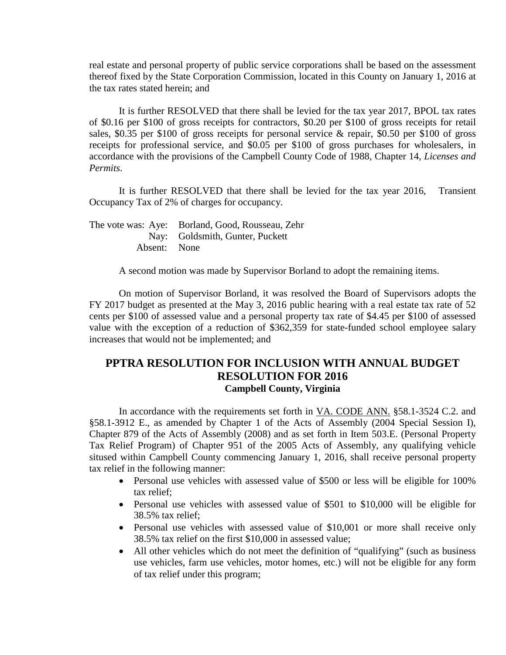real estate and personal property of public service corporations shall be based on the assessment thereof fixed by the State Corporation Commission, located in this County on January 1, 2016 at the tax rates stated herein; and

It is further RESOLVED that there shall be levied for the tax year 2017, BPOL tax rates of \$0.16 per \$100 of gross receipts for contractors, \$0.20 per \$100 of gross receipts for retail sales, \$0.35 per \$100 of gross receipts for personal service & repair, \$0.50 per \$100 of gross receipts for professional service, and \$0.05 per \$100 of gross purchases for wholesalers, in accordance with the provisions of the Campbell County Code of 1988, Chapter 14, *Licenses and Permits*.

It is further RESOLVED that there shall be levied for the tax year 2016, Transient Occupancy Tax of 2% of charges for occupancy.

The vote was: Aye: Borland, Good, Rousseau, Zehr Nay: Goldsmith, Gunter, Puckett Absent: None

A second motion was made by Supervisor Borland to adopt the remaining items.

On motion of Supervisor Borland, it was resolved the Board of Supervisors adopts the FY 2017 budget as presented at the May 3, 2016 public hearing with a real estate tax rate of 52 cents per \$100 of assessed value and a personal property tax rate of \$4.45 per \$100 of assessed value with the exception of a reduction of \$362,359 for state-funded school employee salary increases that would not be implemented; and

# **PPTRA RESOLUTION FOR INCLUSION WITH ANNUAL BUDGET RESOLUTION FOR 2016 Campbell County, Virginia**

In accordance with the requirements set forth in VA. CODE ANN. §58.1-3524 C.2. and §58.1-3912 E., as amended by Chapter 1 of the Acts of Assembly (2004 Special Session I), Chapter 879 of the Acts of Assembly (2008) and as set forth in Item 503.E. (Personal Property Tax Relief Program) of Chapter 951 of the 2005 Acts of Assembly, any qualifying vehicle sitused within Campbell County commencing January 1, 2016, shall receive personal property tax relief in the following manner:

- Personal use vehicles with assessed value of \$500 or less will be eligible for 100% tax relief;
- Personal use vehicles with assessed value of \$501 to \$10,000 will be eligible for 38.5% tax relief;
- Personal use vehicles with assessed value of \$10,001 or more shall receive only 38.5% tax relief on the first \$10,000 in assessed value;
- All other vehicles which do not meet the definition of "qualifying" (such as business use vehicles, farm use vehicles, motor homes, etc.) will not be eligible for any form of tax relief under this program;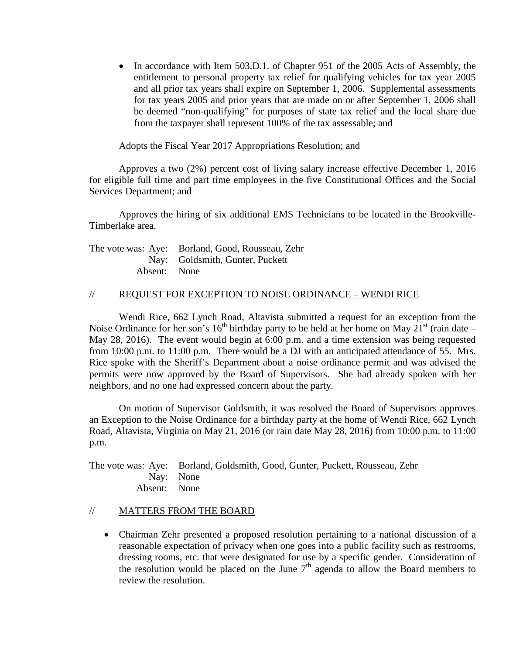• In accordance with Item 503.D.1. of Chapter 951 of the 2005 Acts of Assembly, the entitlement to personal property tax relief for qualifying vehicles for tax year 2005 and all prior tax years shall expire on September 1, 2006. Supplemental assessments for tax years 2005 and prior years that are made on or after September 1, 2006 shall be deemed "non-qualifying" for purposes of state tax relief and the local share due from the taxpayer shall represent 100% of the tax assessable; and

Adopts the Fiscal Year 2017 Appropriations Resolution; and

Approves a two (2%) percent cost of living salary increase effective December 1, 2016 for eligible full time and part time employees in the five Constitutional Offices and the Social Services Department; and

Approves the hiring of six additional EMS Technicians to be located in the Brookville-Timberlake area.

|              | The vote was: Aye: Borland, Good, Rousseau, Zehr |
|--------------|--------------------------------------------------|
|              | Nay: Goldsmith, Gunter, Puckett                  |
| Absent: None |                                                  |

## // REQUEST FOR EXCEPTION TO NOISE ORDINANCE – WENDI RICE

Wendi Rice, 662 Lynch Road, Altavista submitted a request for an exception from the Noise Ordinance for her son's 16<sup>th</sup> birthday party to be held at her home on May  $21<sup>st</sup>$  (rain date – May 28, 2016). The event would begin at 6:00 p.m. and a time extension was being requested from 10:00 p.m. to 11:00 p.m. There would be a DJ with an anticipated attendance of 55. Mrs. Rice spoke with the Sheriff's Department about a noise ordinance permit and was advised the permits were now approved by the Board of Supervisors. She had already spoken with her neighbors, and no one had expressed concern about the party.

On motion of Supervisor Goldsmith, it was resolved the Board of Supervisors approves an Exception to the Noise Ordinance for a birthday party at the home of Wendi Rice, 662 Lynch Road, Altavista, Virginia on May 21, 2016 (or rain date May 28, 2016) from 10:00 p.m. to 11:00 p.m.

The vote was: Aye: Borland, Goldsmith, Good, Gunter, Puckett, Rousseau, Zehr Nay: None Absent: None

## // MATTERS FROM THE BOARD

• Chairman Zehr presented a proposed resolution pertaining to a national discussion of a reasonable expectation of privacy when one goes into a public facility such as restrooms, dressing rooms, etc. that were designated for use by a specific gender. Consideration of the resolution would be placed on the June  $7<sup>th</sup>$  agenda to allow the Board members to review the resolution.